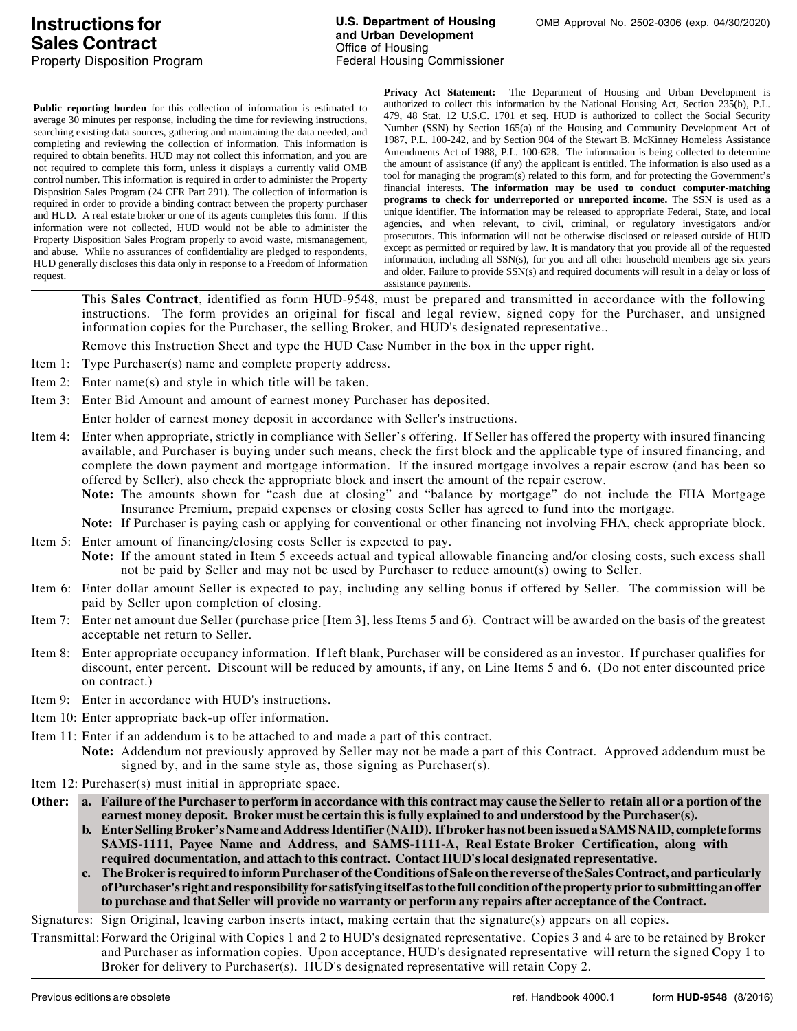**Public reporting burden** for this collection of information is estimated to average 30 minutes per response, including the time for reviewing instructions, searching existing data sources, gathering and maintaining the data needed, and completing and reviewing the collection of information. This information is required to obtain benefits. HUD may not collect this information, and you are not required to complete this form, unless it displays a currently valid OMB control number. This information is required in order to administer the Property Disposition Sales Program (24 CFR Part 291). The collection of information is required in order to provide a binding contract between the property purchaser and HUD. A real estate broker or one of its agents completes this form. If this information were not collected, HUD would not be able to administer the Property Disposition Sales Program properly to avoid waste, mismanagement, and abuse. While no assurances of confidentiality are pledged to respondents, HUD generally discloses this data only in response to a Freedom of Information request.

**Privacy Act Statement:** The Department of Housing and Urban Development is authorized to collect this information by the National Housing Act, Section 235(b), P.L. 479, 48 Stat. 12 U.S.C. 1701 et seq. HUD is authorized to collect the Social Security Number (SSN) by Section 165(a) of the Housing and Community Development Act of 1987, P.L. 100-242, and by Section 904 of the Stewart B. McKinney Homeless Assistance Amendments Act of 1988, P.L. 100-628. The information is being collected to determine the amount of assistance (if any) the applicant is entitled. The information is also used as a tool for managing the program(s) related to this form, and for protecting the Government's financial interests. **The information may be used to conduct computer-matching programs to check for underreported or unreported income.** The SSN is used as a unique identifier. The information may be released to appropriate Federal, State, and local agencies, and when relevant, to civil, criminal, or regulatory investigators and/or prosecutors. This information will not be otherwise disclosed or released outside of HUD except as permitted or required by law. It is mandatory that you provide all of the requested information, including all SSN(s), for you and all other household members age six years and older. Failure to provide SSN(s) and required documents will result in a delay or loss of assistance payments.

This **Sales Contract**, identified as form HUD-9548, must be prepared and transmitted in accordance with the following instructions. The form provides an original for fiscal and legal review, signed copy for the Purchaser, and unsigned information copies for the Purchaser, the selling Broker, and HUD's designated representative..

Remove this Instruction Sheet and type the HUD Case Number in the box in the upper right.

- Item 1: Type Purchaser(s) name and complete property address.
- Item 2: Enter name(s) and style in which title will be taken.
- Item 3: Enter Bid Amount and amount of earnest money Purchaser has deposited.

Enter holder of earnest money deposit in accordance with Seller's instructions.

- Item 4: Enter when appropriate, strictly in compliance with Seller's offering. If Seller has offered the property with insured financing available, and Purchaser is buying under such means, check the first block and the applicable type of insured financing, and complete the down payment and mortgage information. If the insured mortgage involves a repair escrow (and has been so offered by Seller), also check the appropriate block and insert the amount of the repair escrow.
	- **Note:** The amounts shown for "cash due at closing" and "balance by mortgage" do not include the FHA Mortgage Insurance Premium, prepaid expenses or closing costs Seller has agreed to fund into the mortgage.

**Note:** If Purchaser is paying cash or applying for conventional or other financing not involving FHA, check appropriate block.

- Item 5: Enter amount of financing/closing costs Seller is expected to pay. **Note:** If the amount stated in Item 5 exceeds actual and typical allowable financing and/or closing costs, such excess shall not be paid by Seller and may not be used by Purchaser to reduce amount(s) owing to Seller.
- Item 6: Enter dollar amount Seller is expected to pay, including any selling bonus if offered by Seller. The commission will be paid by Seller upon completion of closing.
- Item 7: Enter net amount due Seller (purchase price [Item 3], less Items 5 and 6). Contract will be awarded on the basis of the greatest acceptable net return to Seller.
- Item 8: Enter appropriate occupancy information. If left blank, Purchaser will be considered as an investor. If purchaser qualifies for discount, enter percent. Discount will be reduced by amounts, if any, on Line Items 5 and 6. (Do not enter discounted price on contract.)
- Item 9: Enter in accordance with HUD's instructions.
- Item 10: Enter appropriate back-up offer information.
- Item 11: Enter if an addendum is to be attached to and made a part of this contract.
	- **Note:** Addendum not previously approved by Seller may not be made a part of this Contract. Approved addendum must be signed by, and in the same style as, those signing as Purchaser(s).
- Item 12: Purchaser(s) must initial in appropriate space.
- **Other: a. Failure of the Purchaser to perform in accordance with this contract may cause the Seller to retain all or a portion of the earnest money deposit. Broker must be certain this is fully explained to and understood by the Purchaser(s).**
	- **b. Enter Selling Broker's Name and Address Identifier (NAID). If broker has not been issued a SAMS NAID, complete forms SAMS-1111, Payee Name and Address, and SAMS-1111-A, Real Estate Broker Certification, along with required documentation, and attach to this contract. Contact HUD's local designated representative.**
	- **c. The Broker is required to inform Purchaser of the Conditions of Sale on the reverse of the Sales Contract, and particularly of Purchaser's right and responsibility for satisfying itself as to the full condition of the property prior to submitting an offer to purchase and that Seller will provide no warranty or perform any repairs after acceptance of the Contract.**

Signatures: Sign Original, leaving carbon inserts intact, making certain that the signature(s) appears on all copies.

Transmittal: Forward the Original with Copies 1 and 2 to HUD's designated representative. Copies 3 and 4 are to be retained by Broker and Purchaser as information copies. Upon acceptance, HUD's designated representative will return the signed Copy 1 to Broker for delivery to Purchaser(s). HUD's designated representative will retain Copy 2.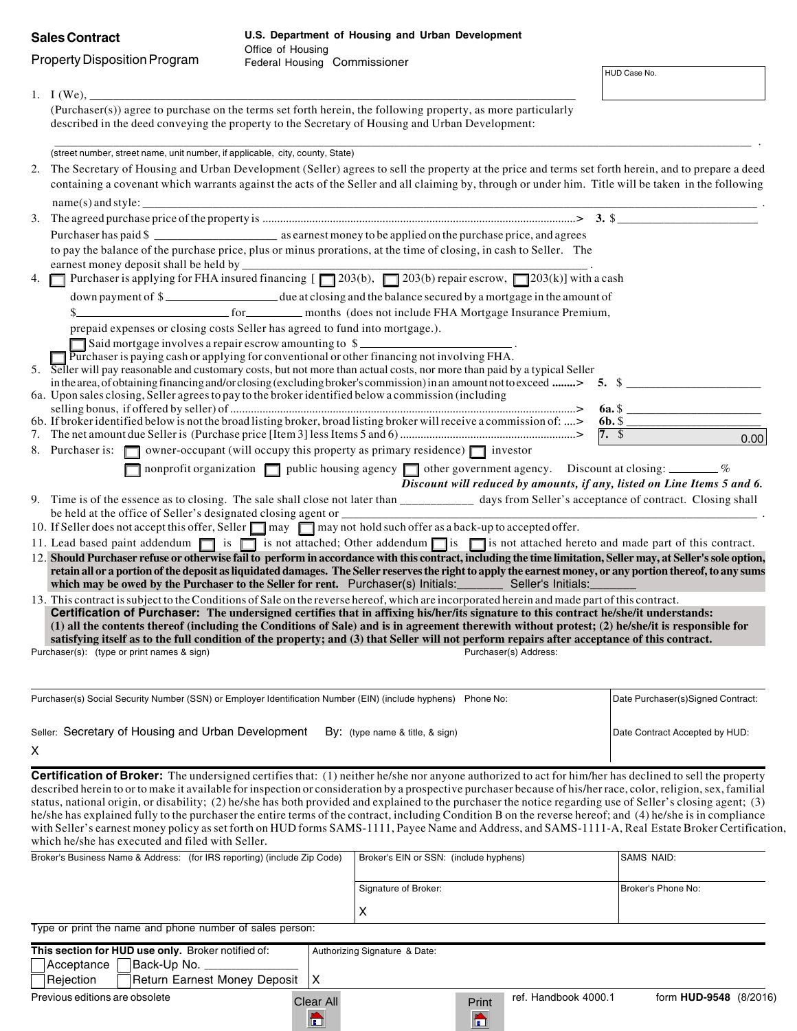|                                     | <b>Sales Contract</b>                                                                                         | U.S. Department of Housing and Urban Development<br>Office of Housing |                                                                                                                                                                                                                                                                                                                                                                                                                                                                                                                                                                                                                                                                                                                                                                                                                    |  |                                   |  |
|-------------------------------------|---------------------------------------------------------------------------------------------------------------|-----------------------------------------------------------------------|--------------------------------------------------------------------------------------------------------------------------------------------------------------------------------------------------------------------------------------------------------------------------------------------------------------------------------------------------------------------------------------------------------------------------------------------------------------------------------------------------------------------------------------------------------------------------------------------------------------------------------------------------------------------------------------------------------------------------------------------------------------------------------------------------------------------|--|-----------------------------------|--|
| <b>Property Disposition Program</b> |                                                                                                               | Federal Housing Commissioner                                          |                                                                                                                                                                                                                                                                                                                                                                                                                                                                                                                                                                                                                                                                                                                                                                                                                    |  | HUD Case No.                      |  |
|                                     | 1. $I(We)$ ,                                                                                                  |                                                                       | (Purchaser(s)) agree to purchase on the terms set forth herein, the following property, as more particularly                                                                                                                                                                                                                                                                                                                                                                                                                                                                                                                                                                                                                                                                                                       |  |                                   |  |
|                                     |                                                                                                               |                                                                       | described in the deed conveying the property to the Secretary of Housing and Urban Development:                                                                                                                                                                                                                                                                                                                                                                                                                                                                                                                                                                                                                                                                                                                    |  |                                   |  |
|                                     | (street number, street name, unit number, if applicable, city, county, State)                                 |                                                                       |                                                                                                                                                                                                                                                                                                                                                                                                                                                                                                                                                                                                                                                                                                                                                                                                                    |  |                                   |  |
|                                     |                                                                                                               |                                                                       | 2. The Secretary of Housing and Urban Development (Seller) agrees to sell the property at the price and terms set forth herein, and to prepare a deed<br>containing a covenant which warrants against the acts of the Seller and all claiming by, through or under him. Title will be taken in the following                                                                                                                                                                                                                                                                                                                                                                                                                                                                                                       |  |                                   |  |
|                                     |                                                                                                               |                                                                       | 3. The agreed purchase price of the property is $\ldots$ $\ldots$ $\ldots$ $\ldots$ $\ldots$ $\ldots$ $\ldots$ $\ldots$ $\ldots$ $\ldots$ $\ldots$ $\ldots$ $\ldots$ $\ldots$ $\ldots$ $\ldots$ $\ldots$ $\ldots$ $\ldots$ $\ldots$ $\ldots$                                                                                                                                                                                                                                                                                                                                                                                                                                                                                                                                                                       |  |                                   |  |
|                                     |                                                                                                               |                                                                       | Purchaser has paid \$                                                                                                                                                                                                                                                                                                                                                                                                                                                                                                                                                                                                                                                                                                                                                                                              |  |                                   |  |
|                                     |                                                                                                               |                                                                       | to pay the balance of the purchase price, plus or minus prorations, at the time of closing, in cash to Seller. The                                                                                                                                                                                                                                                                                                                                                                                                                                                                                                                                                                                                                                                                                                 |  |                                   |  |
|                                     |                                                                                                               |                                                                       | earnest money deposit shall be neld by $\overline{y}$ and $\overline{y}$ and $\overline{z}$ and $\overline{z}$ are $\overline{z}$ and $\overline{z}$ are $\overline{z}$ are $\overline{z}$ are $\overline{z}$ are $\overline{z}$ are $\overline{z}$ are $\overline{z}$ are $\overline{z}$ are $\overline{z}$ are                                                                                                                                                                                                                                                                                                                                                                                                                                                                                                   |  |                                   |  |
|                                     |                                                                                                               |                                                                       | down payment of \$                                                                                                                                                                                                                                                                                                                                                                                                                                                                                                                                                                                                                                                                                                                                                                                                 |  |                                   |  |
|                                     |                                                                                                               |                                                                       | \$                                                                                                                                                                                                                                                                                                                                                                                                                                                                                                                                                                                                                                                                                                                                                                                                                 |  |                                   |  |
|                                     | prepaid expenses or closing costs Seller has agreed to fund into mortgage.).                                  |                                                                       |                                                                                                                                                                                                                                                                                                                                                                                                                                                                                                                                                                                                                                                                                                                                                                                                                    |  |                                   |  |
|                                     | Said mortgage involves a repair escrow amounting to \$                                                        |                                                                       |                                                                                                                                                                                                                                                                                                                                                                                                                                                                                                                                                                                                                                                                                                                                                                                                                    |  |                                   |  |
|                                     | $\Box$ Purchaser is paying cash or applying for conventional or other financing not involving FHA.            |                                                                       | 5. Seller will pay reasonable and customary costs, but not more than actual costs, nor more than paid by a typical Seller                                                                                                                                                                                                                                                                                                                                                                                                                                                                                                                                                                                                                                                                                          |  |                                   |  |
|                                     |                                                                                                               |                                                                       | in the area, of obtaining financing and/or closing (excluding broker's commission) in an amount not to exceed  5. \$                                                                                                                                                                                                                                                                                                                                                                                                                                                                                                                                                                                                                                                                                               |  |                                   |  |
|                                     | 6a. Upon sales closing, Seller agrees to pay to the broker identified below a commission (including           |                                                                       |                                                                                                                                                                                                                                                                                                                                                                                                                                                                                                                                                                                                                                                                                                                                                                                                                    |  |                                   |  |
|                                     |                                                                                                               |                                                                       | 6b. If broker identified below is not the broad listing broker, broad listing broker will receive a commission of: >                                                                                                                                                                                                                                                                                                                                                                                                                                                                                                                                                                                                                                                                                               |  | $\underline{6b. }$                |  |
|                                     |                                                                                                               |                                                                       |                                                                                                                                                                                                                                                                                                                                                                                                                                                                                                                                                                                                                                                                                                                                                                                                                    |  | $7.$ \$<br>0.00                   |  |
|                                     | 8. Purchaser is: $\Box$ owner-occupant (will occupy this property as primary residence) $\Box$ investor       |                                                                       |                                                                                                                                                                                                                                                                                                                                                                                                                                                                                                                                                                                                                                                                                                                                                                                                                    |  |                                   |  |
|                                     |                                                                                                               |                                                                       | nonprofit organization $\Box$ public housing agency $\Box$ other government agency. Discount at closing: _______ %<br>Discount will reduced by amounts, if any, listed on Line Items 5 and 6.                                                                                                                                                                                                                                                                                                                                                                                                                                                                                                                                                                                                                      |  |                                   |  |
|                                     |                                                                                                               |                                                                       | 9. Time is of the essence as to closing. The sale shall close not later than __________ days from Seller's acceptance of contract. Closing shall                                                                                                                                                                                                                                                                                                                                                                                                                                                                                                                                                                                                                                                                   |  |                                   |  |
|                                     | be held at the office of Seller's designated closing agent or ___________________                             |                                                                       | 10. If Seller does not accept this offer, Seller $\Box$ may $\Box$ may not hold such offer as a back-up to accepted offer.                                                                                                                                                                                                                                                                                                                                                                                                                                                                                                                                                                                                                                                                                         |  |                                   |  |
|                                     |                                                                                                               |                                                                       | 11. Lead based paint addendum is is in its not attached; Other addendum is is not attached hereto and made part of this contract.                                                                                                                                                                                                                                                                                                                                                                                                                                                                                                                                                                                                                                                                                  |  |                                   |  |
|                                     |                                                                                                               |                                                                       | 12. Should Purchaser refuse or otherwise fail to perform in accordance with this contract, including the time limitation, Seller may, at Seller's sole option,<br>retain all or a portion of the deposit as liquidated damages. The Seller reserves the right to apply the earnest money, or any portion thereof, to any sums<br>which may be owed by the Purchaser to the Seller for rent. Purchaser(s) Initials: Seller's Initials:                                                                                                                                                                                                                                                                                                                                                                              |  |                                   |  |
|                                     |                                                                                                               |                                                                       | 13. This contract is subject to the Conditions of Sale on the reverse hereof, which are incorporated herein and made part of this contract.                                                                                                                                                                                                                                                                                                                                                                                                                                                                                                                                                                                                                                                                        |  |                                   |  |
|                                     |                                                                                                               |                                                                       | Certification of Purchaser: The undersigned certifies that in affixing his/her/its signature to this contract he/she/it understands:<br>(1) all the contents thereof (including the Conditions of Sale) and is in agreement therewith without protest; (2) he/she/it is responsible for<br>satisfying itself as to the full condition of the property; and (3) that Seller will not perform repairs after acceptance of this contract.                                                                                                                                                                                                                                                                                                                                                                             |  |                                   |  |
|                                     | Purchaser(s): (type or print names & sign)                                                                    |                                                                       | Purchaser(s) Address:                                                                                                                                                                                                                                                                                                                                                                                                                                                                                                                                                                                                                                                                                                                                                                                              |  |                                   |  |
|                                     | Purchaser(s) Social Security Number (SSN) or Employer Identification Number (EIN) (include hyphens) Phone No: |                                                                       |                                                                                                                                                                                                                                                                                                                                                                                                                                                                                                                                                                                                                                                                                                                                                                                                                    |  | Date Purchaser(s)Signed Contract: |  |
|                                     | Seller: Secretary of Housing and Urban Development                                                            |                                                                       | $By:$ (type name & title, & sign)                                                                                                                                                                                                                                                                                                                                                                                                                                                                                                                                                                                                                                                                                                                                                                                  |  | Date Contract Accepted by HUD:    |  |
| Χ                                   |                                                                                                               |                                                                       |                                                                                                                                                                                                                                                                                                                                                                                                                                                                                                                                                                                                                                                                                                                                                                                                                    |  |                                   |  |
|                                     | which he/she has executed and filed with Seller.                                                              |                                                                       | <b>Certification of Broker:</b> The undersigned certifies that: (1) neither he/she nor anyone authorized to act for him/her has declined to sell the property<br>described herein to or to make it available for inspection or consideration by a prospective purchaser because of his/her race, color, religion, sex, familial<br>status, national origin, or disability; (2) he/she has both provided and explained to the purchaser the notice regarding use of Seller's closing agent; (3)<br>he/she has explained fully to the purchaser the entire terms of the contract, including Condition B on the reverse hereof; and (4) he/she is in compliance<br>with Seller's earnest money policy as set forth on HUD forms SAMS-1111, Payee Name and Address, and SAMS-1111-A, Real Estate Broker Certification, |  |                                   |  |
|                                     | Broker's Business Name & Address: (for IRS reporting) (include Zip Code)                                      |                                                                       | Broker's EIN or SSN: (include hyphens)                                                                                                                                                                                                                                                                                                                                                                                                                                                                                                                                                                                                                                                                                                                                                                             |  | SAMS NAID:                        |  |

|                                                          |                      | _.  _ .            |
|----------------------------------------------------------|----------------------|--------------------|
|                                                          |                      |                    |
|                                                          | Signature of Broker: | Broker's Phone No: |
|                                                          | $\lambda$            |                    |
| Type or print the name and phone number of sales person: |                      |                    |

| This section for HUD use only. Broker notified of: | Authorizing Signature & Date:         |                  |                      |                        |  |
|----------------------------------------------------|---------------------------------------|------------------|----------------------|------------------------|--|
| Back-Up No.<br>Acceptance                          |                                       |                  |                      |                        |  |
| Return Earnest Money Deposit   X<br>Rejection      |                                       |                  |                      |                        |  |
| Previous editions are obsolete                     | Clear All                             | Print            | ref. Handbook 4000.1 | form HUD-9548 (8/2016) |  |
|                                                    | $\begin{array}{c} \hline \end{array}$ | l no<br><b>F</b> |                      |                        |  |